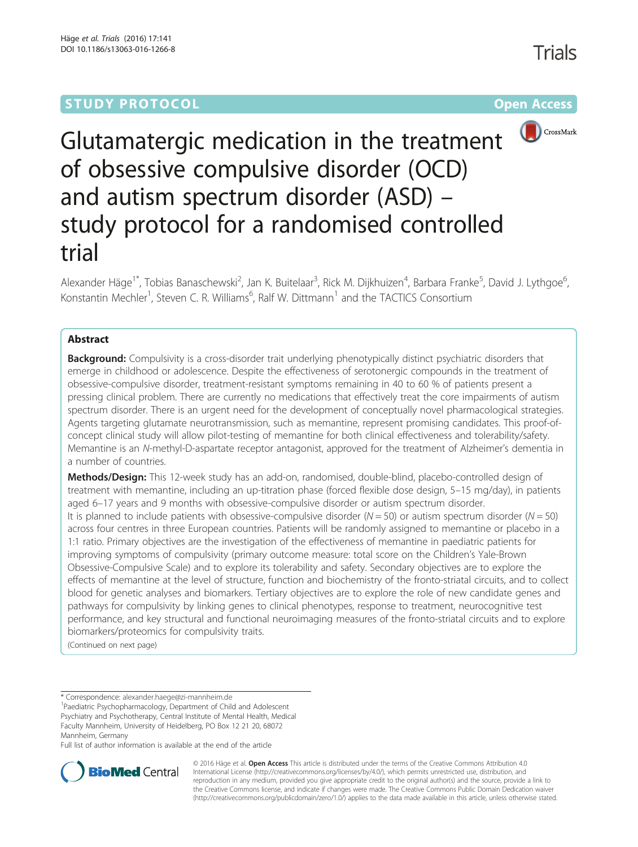# **STUDY PROTOCOL CONSUMING THE RESERVE ACCESS**



# Glutamatergic medication in the treatment of obsessive compulsive disorder (OCD) and autism spectrum disorder (ASD) – study protocol for a randomised controlled trial

Alexander Häge<sup>1\*</sup>, Tobias Banaschewski<sup>2</sup>, Jan K. Buitelaar<sup>3</sup>, Rick M. Dijkhuizen<sup>4</sup>, Barbara Franke<sup>5</sup>, David J. Lythgoe<sup>6</sup> , Konstantin Mechler<sup>1</sup>, Steven C. R. Williams<sup>6</sup>, Ralf W. Dittmann<sup>1</sup> and the TACTICS Consortium

# Abstract

**Background:** Compulsivity is a cross-disorder trait underlying phenotypically distinct psychiatric disorders that emerge in childhood or adolescence. Despite the effectiveness of serotonergic compounds in the treatment of obsessive-compulsive disorder, treatment-resistant symptoms remaining in 40 to 60 % of patients present a pressing clinical problem. There are currently no medications that effectively treat the core impairments of autism spectrum disorder. There is an urgent need for the development of conceptually novel pharmacological strategies. Agents targeting glutamate neurotransmission, such as memantine, represent promising candidates. This proof-ofconcept clinical study will allow pilot-testing of memantine for both clinical effectiveness and tolerability/safety. Memantine is an N-methyl-D-aspartate receptor antagonist, approved for the treatment of Alzheimer's dementia in a number of countries.

Methods/Design: This 12-week study has an add-on, randomised, double-blind, placebo-controlled design of treatment with memantine, including an up-titration phase (forced flexible dose design, 5–15 mg/day), in patients aged 6–17 years and 9 months with obsessive-compulsive disorder or autism spectrum disorder. It is planned to include patients with obsessive-compulsive disorder ( $N = 50$ ) or autism spectrum disorder ( $N = 50$ ) across four centres in three European countries. Patients will be randomly assigned to memantine or placebo in a 1:1 ratio. Primary objectives are the investigation of the effectiveness of memantine in paediatric patients for improving symptoms of compulsivity (primary outcome measure: total score on the Children's Yale-Brown Obsessive-Compulsive Scale) and to explore its tolerability and safety. Secondary objectives are to explore the effects of memantine at the level of structure, function and biochemistry of the fronto-striatal circuits, and to collect blood for genetic analyses and biomarkers. Tertiary objectives are to explore the role of new candidate genes and pathways for compulsivity by linking genes to clinical phenotypes, response to treatment, neurocognitive test performance, and key structural and functional neuroimaging measures of the fronto-striatal circuits and to explore biomarkers/proteomics for compulsivity traits.

(Continued on next page)

\* Correspondence: [alexander.haege@zi-mannheim.de](mailto:alexander.haege@zi-mannheim.de) <sup>1</sup>

Paediatric Psychopharmacology, Department of Child and Adolescent Psychiatry and Psychotherapy, Central Institute of Mental Health, Medical Faculty Mannheim, University of Heidelberg, PO Box 12 21 20, 68072

Mannheim, Germany

Full list of author information is available at the end of the article



© 2016 Häge et al. Open Access This article is distributed under the terms of the Creative Commons Attribution 4.0 International License [\(http://creativecommons.org/licenses/by/4.0/](http://creativecommons.org/licenses/by/4.0/)), which permits unrestricted use, distribution, and reproduction in any medium, provided you give appropriate credit to the original author(s) and the source, provide a link to the Creative Commons license, and indicate if changes were made. The Creative Commons Public Domain Dedication waiver [\(http://creativecommons.org/publicdomain/zero/1.0/](http://creativecommons.org/publicdomain/zero/1.0/)) applies to the data made available in this article, unless otherwise stated.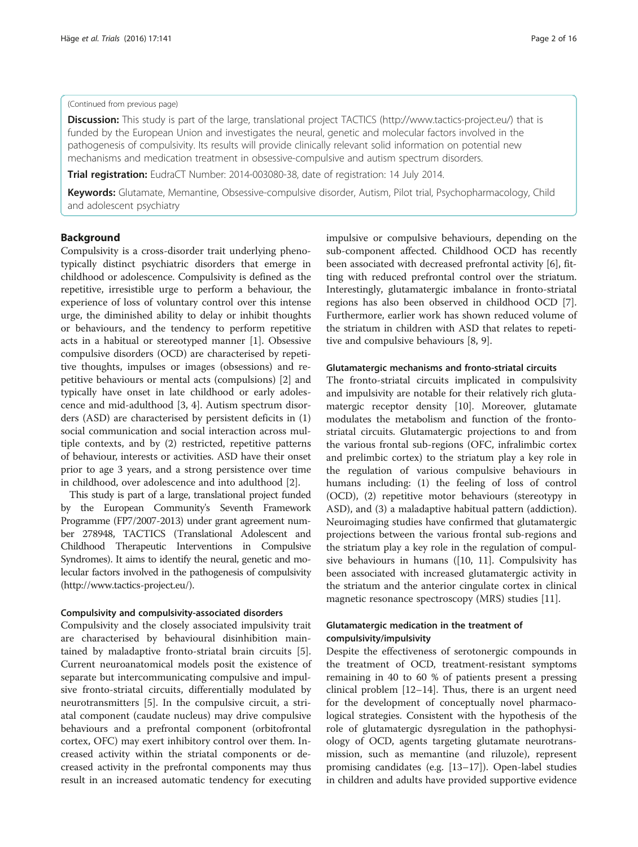#### (Continued from previous page)

**Discussion:** This study is part of the large, translational project TACTICS [\(http://www.tactics-project.eu/\)](http://www.tactics-project.eu/) that is funded by the European Union and investigates the neural, genetic and molecular factors involved in the pathogenesis of compulsivity. Its results will provide clinically relevant solid information on potential new mechanisms and medication treatment in obsessive-compulsive and autism spectrum disorders.

Trial registration: EudraCT Number: [2014-003080-38](https://www.clinicaltrialsregister.eu/ctr-search/trial/=2014-003080-38/DE), date of registration: 14 July 2014.

Keywords: Glutamate, Memantine, Obsessive-compulsive disorder, Autism, Pilot trial, Psychopharmacology, Child and adolescent psychiatry

#### Background

Compulsivity is a cross-disorder trait underlying phenotypically distinct psychiatric disorders that emerge in childhood or adolescence. Compulsivity is defined as the repetitive, irresistible urge to perform a behaviour, the experience of loss of voluntary control over this intense urge, the diminished ability to delay or inhibit thoughts or behaviours, and the tendency to perform repetitive acts in a habitual or stereotyped manner [\[1](#page-13-0)]. Obsessive compulsive disorders (OCD) are characterised by repetitive thoughts, impulses or images (obsessions) and repetitive behaviours or mental acts (compulsions) [\[2](#page-13-0)] and typically have onset in late childhood or early adolescence and mid-adulthood [\[3](#page-13-0), [4\]](#page-13-0). Autism spectrum disorders (ASD) are characterised by persistent deficits in (1) social communication and social interaction across multiple contexts, and by (2) restricted, repetitive patterns of behaviour, interests or activities. ASD have their onset prior to age 3 years, and a strong persistence over time in childhood, over adolescence and into adulthood [\[2](#page-13-0)].

This study is part of a large, translational project funded by the European Community's Seventh Framework Programme (FP7/2007-2013) under grant agreement number 278948, TACTICS (Translational Adolescent and Childhood Therapeutic Interventions in Compulsive Syndromes). It aims to identify the neural, genetic and molecular factors involved in the pathogenesis of compulsivity (<http://www.tactics-project.eu/>).

#### Compulsivity and compulsivity-associated disorders

Compulsivity and the closely associated impulsivity trait are characterised by behavioural disinhibition maintained by maladaptive fronto-striatal brain circuits [\[5](#page-13-0)]. Current neuroanatomical models posit the existence of separate but intercommunicating compulsive and impulsive fronto-striatal circuits, differentially modulated by neurotransmitters [\[5](#page-13-0)]. In the compulsive circuit, a striatal component (caudate nucleus) may drive compulsive behaviours and a prefrontal component (orbitofrontal cortex, OFC) may exert inhibitory control over them. Increased activity within the striatal components or decreased activity in the prefrontal components may thus result in an increased automatic tendency for executing

impulsive or compulsive behaviours, depending on the sub-component affected. Childhood OCD has recently been associated with decreased prefrontal activity [[6](#page-13-0)], fitting with reduced prefrontal control over the striatum. Interestingly, glutamatergic imbalance in fronto-striatal regions has also been observed in childhood OCD [\[7](#page-13-0)]. Furthermore, earlier work has shown reduced volume of the striatum in children with ASD that relates to repetitive and compulsive behaviours [\[8](#page-13-0), [9](#page-13-0)].

#### Glutamatergic mechanisms and fronto-striatal circuits

The fronto-striatal circuits implicated in compulsivity and impulsivity are notable for their relatively rich glutamatergic receptor density [[10](#page-13-0)]. Moreover, glutamate modulates the metabolism and function of the frontostriatal circuits. Glutamatergic projections to and from the various frontal sub-regions (OFC, infralimbic cortex and prelimbic cortex) to the striatum play a key role in the regulation of various compulsive behaviours in humans including: (1) the feeling of loss of control (OCD), (2) repetitive motor behaviours (stereotypy in ASD), and (3) a maladaptive habitual pattern (addiction). Neuroimaging studies have confirmed that glutamatergic projections between the various frontal sub-regions and the striatum play a key role in the regulation of compulsive behaviours in humans ([[10](#page-13-0), [11](#page-13-0)]. Compulsivity has been associated with increased glutamatergic activity in the striatum and the anterior cingulate cortex in clinical magnetic resonance spectroscopy (MRS) studies [\[11](#page-13-0)].

### Glutamatergic medication in the treatment of compulsivity/impulsivity

Despite the effectiveness of serotonergic compounds in the treatment of OCD, treatment-resistant symptoms remaining in 40 to 60 % of patients present a pressing clinical problem [[12](#page-14-0)–[14](#page-14-0)]. Thus, there is an urgent need for the development of conceptually novel pharmacological strategies. Consistent with the hypothesis of the role of glutamatergic dysregulation in the pathophysiology of OCD, agents targeting glutamate neurotransmission, such as memantine (and riluzole), represent promising candidates (e.g. [\[13](#page-14-0)–[17\]](#page-14-0)). Open-label studies in children and adults have provided supportive evidence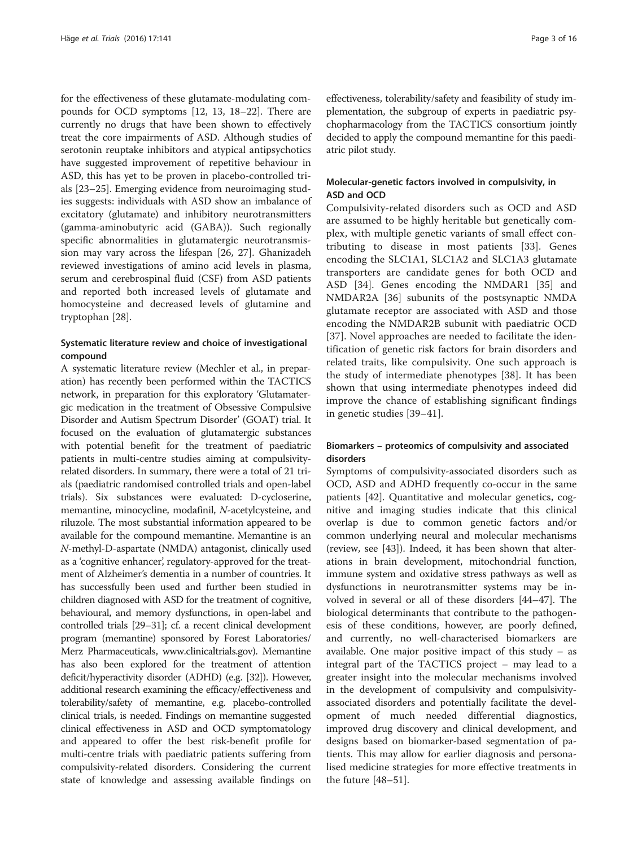for the effectiveness of these glutamate-modulating compounds for OCD symptoms [[12, 13, 18](#page-14-0)–[22\]](#page-14-0). There are currently no drugs that have been shown to effectively treat the core impairments of ASD. Although studies of serotonin reuptake inhibitors and atypical antipsychotics have suggested improvement of repetitive behaviour in ASD, this has yet to be proven in placebo-controlled trials [\[23](#page-14-0)–[25](#page-14-0)]. Emerging evidence from neuroimaging studies suggests: individuals with ASD show an imbalance of excitatory (glutamate) and inhibitory neurotransmitters (gamma-aminobutyric acid (GABA)). Such regionally specific abnormalities in glutamatergic neurotransmission may vary across the lifespan [\[26, 27](#page-14-0)]. Ghanizadeh reviewed investigations of amino acid levels in plasma, serum and cerebrospinal fluid (CSF) from ASD patients and reported both increased levels of glutamate and homocysteine and decreased levels of glutamine and tryptophan [[28\]](#page-14-0).

# Systematic literature review and choice of investigational compound

A systematic literature review (Mechler et al., in preparation) has recently been performed within the TACTICS network, in preparation for this exploratory 'Glutamatergic medication in the treatment of Obsessive Compulsive Disorder and Autism Spectrum Disorder' (GOAT) trial. It focused on the evaluation of glutamatergic substances with potential benefit for the treatment of paediatric patients in multi-centre studies aiming at compulsivityrelated disorders. In summary, there were a total of 21 trials (paediatric randomised controlled trials and open-label trials). Six substances were evaluated: D-cycloserine, memantine, minocycline, modafinil, N-acetylcysteine, and riluzole. The most substantial information appeared to be available for the compound memantine. Memantine is an N-methyl-D-aspartate (NMDA) antagonist, clinically used as a 'cognitive enhancer', regulatory-approved for the treatment of Alzheimer's dementia in a number of countries. It has successfully been used and further been studied in children diagnosed with ASD for the treatment of cognitive, behavioural, and memory dysfunctions, in open-label and controlled trials [\[29](#page-14-0)–[31\]](#page-14-0); cf. a recent clinical development program (memantine) sponsored by Forest Laboratories/ Merz Pharmaceuticals, [www.clinicaltrials.gov\)](http://www.clinicaltrials.gov/). Memantine has also been explored for the treatment of attention deficit/hyperactivity disorder (ADHD) (e.g. [\[32](#page-14-0)]). However, additional research examining the efficacy/effectiveness and tolerability/safety of memantine, e.g. placebo-controlled clinical trials, is needed. Findings on memantine suggested clinical effectiveness in ASD and OCD symptomatology and appeared to offer the best risk-benefit profile for multi-centre trials with paediatric patients suffering from compulsivity-related disorders. Considering the current state of knowledge and assessing available findings on

effectiveness, tolerability/safety and feasibility of study implementation, the subgroup of experts in paediatric psychopharmacology from the TACTICS consortium jointly decided to apply the compound memantine for this paediatric pilot study.

# Molecular-genetic factors involved in compulsivity, in ASD and OCD

Compulsivity-related disorders such as OCD and ASD are assumed to be highly heritable but genetically complex, with multiple genetic variants of small effect contributing to disease in most patients [[33\]](#page-14-0). Genes encoding the SLC1A1, SLC1A2 and SLC1A3 glutamate transporters are candidate genes for both OCD and ASD [[34\]](#page-14-0). Genes encoding the NMDAR1 [[35\]](#page-14-0) and NMDAR2A [[36\]](#page-14-0) subunits of the postsynaptic NMDA glutamate receptor are associated with ASD and those encoding the NMDAR2B subunit with paediatric OCD [[37](#page-14-0)]. Novel approaches are needed to facilitate the identification of genetic risk factors for brain disorders and related traits, like compulsivity. One such approach is the study of intermediate phenotypes [\[38](#page-14-0)]. It has been shown that using intermediate phenotypes indeed did improve the chance of establishing significant findings in genetic studies [[39](#page-14-0)–[41\]](#page-14-0).

#### Biomarkers – proteomics of compulsivity and associated disorders

Symptoms of compulsivity-associated disorders such as OCD, ASD and ADHD frequently co-occur in the same patients [\[42\]](#page-14-0). Quantitative and molecular genetics, cognitive and imaging studies indicate that this clinical overlap is due to common genetic factors and/or common underlying neural and molecular mechanisms (review, see [\[43\]](#page-14-0)). Indeed, it has been shown that alterations in brain development, mitochondrial function, immune system and oxidative stress pathways as well as dysfunctions in neurotransmitter systems may be involved in several or all of these disorders [\[44](#page-14-0)–[47](#page-14-0)]. The biological determinants that contribute to the pathogenesis of these conditions, however, are poorly defined, and currently, no well-characterised biomarkers are available. One major positive impact of this study – as integral part of the TACTICS project – may lead to a greater insight into the molecular mechanisms involved in the development of compulsivity and compulsivityassociated disorders and potentially facilitate the development of much needed differential diagnostics, improved drug discovery and clinical development, and designs based on biomarker-based segmentation of patients. This may allow for earlier diagnosis and personalised medicine strategies for more effective treatments in the future [\[48](#page-14-0)–[51\]](#page-14-0).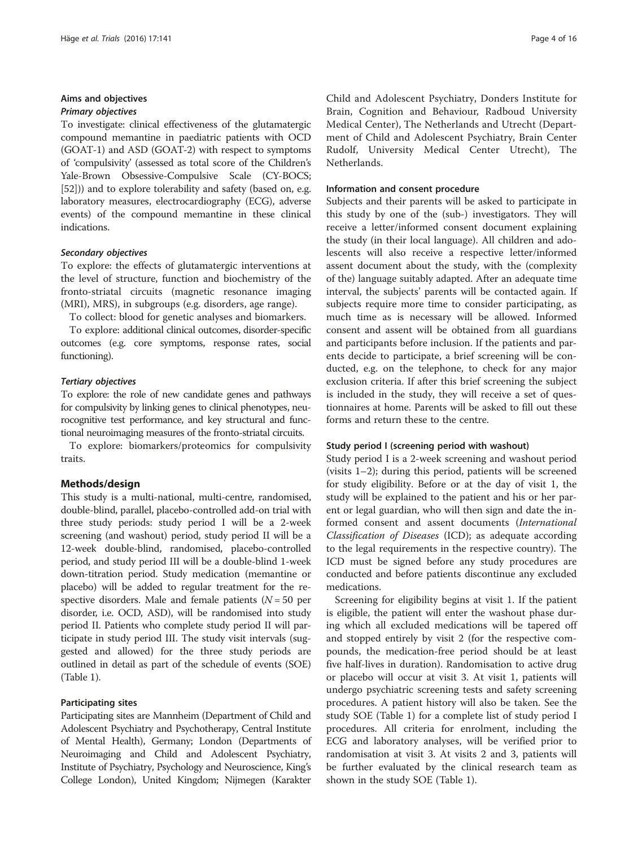# Aims and objectives

#### Primary objectives

To investigate: clinical effectiveness of the glutamatergic compound memantine in paediatric patients with OCD (GOAT-1) and ASD (GOAT-2) with respect to symptoms of 'compulsivity' (assessed as total score of the Children's Yale-Brown Obsessive-Compulsive Scale (CY-BOCS; [[52](#page-14-0)])) and to explore tolerability and safety (based on, e.g. laboratory measures, electrocardiography (ECG), adverse events) of the compound memantine in these clinical indications.

#### Secondary objectives

To explore: the effects of glutamatergic interventions at the level of structure, function and biochemistry of the fronto-striatal circuits (magnetic resonance imaging (MRI), MRS), in subgroups (e.g. disorders, age range).

To collect: blood for genetic analyses and biomarkers.

To explore: additional clinical outcomes, disorder-specific outcomes (e.g. core symptoms, response rates, social functioning).

#### Tertiary objectives

To explore: the role of new candidate genes and pathways for compulsivity by linking genes to clinical phenotypes, neurocognitive test performance, and key structural and functional neuroimaging measures of the fronto-striatal circuits.

To explore: biomarkers/proteomics for compulsivity traits.

# Methods/design

This study is a multi-national, multi-centre, randomised, double-blind, parallel, placebo-controlled add-on trial with three study periods: study period I will be a 2-week screening (and washout) period, study period II will be a 12-week double-blind, randomised, placebo-controlled period, and study period III will be a double-blind 1-week down-titration period. Study medication (memantine or placebo) will be added to regular treatment for the respective disorders. Male and female patients  $(N = 50$  per disorder, i.e. OCD, ASD), will be randomised into study period II. Patients who complete study period II will participate in study period III. The study visit intervals (suggested and allowed) for the three study periods are outlined in detail as part of the schedule of events (SOE) (Table [1](#page-4-0)).

#### Participating sites

Participating sites are Mannheim (Department of Child and Adolescent Psychiatry and Psychotherapy, Central Institute of Mental Health), Germany; London (Departments of Neuroimaging and Child and Adolescent Psychiatry, Institute of Psychiatry, Psychology and Neuroscience, King's College London), United Kingdom; Nijmegen (Karakter Child and Adolescent Psychiatry, Donders Institute for Brain, Cognition and Behaviour, Radboud University Medical Center), The Netherlands and Utrecht (Department of Child and Adolescent Psychiatry, Brain Center Rudolf, University Medical Center Utrecht), The Netherlands.

#### Information and consent procedure

Subjects and their parents will be asked to participate in this study by one of the (sub-) investigators. They will receive a letter/informed consent document explaining the study (in their local language). All children and adolescents will also receive a respective letter/informed assent document about the study, with the (complexity of the) language suitably adapted. After an adequate time interval, the subjects' parents will be contacted again. If subjects require more time to consider participating, as much time as is necessary will be allowed. Informed consent and assent will be obtained from all guardians and participants before inclusion. If the patients and parents decide to participate, a brief screening will be conducted, e.g. on the telephone, to check for any major exclusion criteria. If after this brief screening the subject is included in the study, they will receive a set of questionnaires at home. Parents will be asked to fill out these forms and return these to the centre.

#### Study period I (screening period with washout)

Study period I is a 2-week screening and washout period (visits 1–2); during this period, patients will be screened for study eligibility. Before or at the day of visit 1, the study will be explained to the patient and his or her parent or legal guardian, who will then sign and date the informed consent and assent documents (International Classification of Diseases (ICD); as adequate according to the legal requirements in the respective country). The ICD must be signed before any study procedures are conducted and before patients discontinue any excluded medications.

Screening for eligibility begins at visit 1. If the patient is eligible, the patient will enter the washout phase during which all excluded medications will be tapered off and stopped entirely by visit 2 (for the respective compounds, the medication-free period should be at least five half-lives in duration). Randomisation to active drug or placebo will occur at visit 3. At visit 1, patients will undergo psychiatric screening tests and safety screening procedures. A patient history will also be taken. See the study SOE (Table [1\)](#page-4-0) for a complete list of study period I procedures. All criteria for enrolment, including the ECG and laboratory analyses, will be verified prior to randomisation at visit 3. At visits 2 and 3, patients will be further evaluated by the clinical research team as shown in the study SOE (Table [1](#page-4-0)).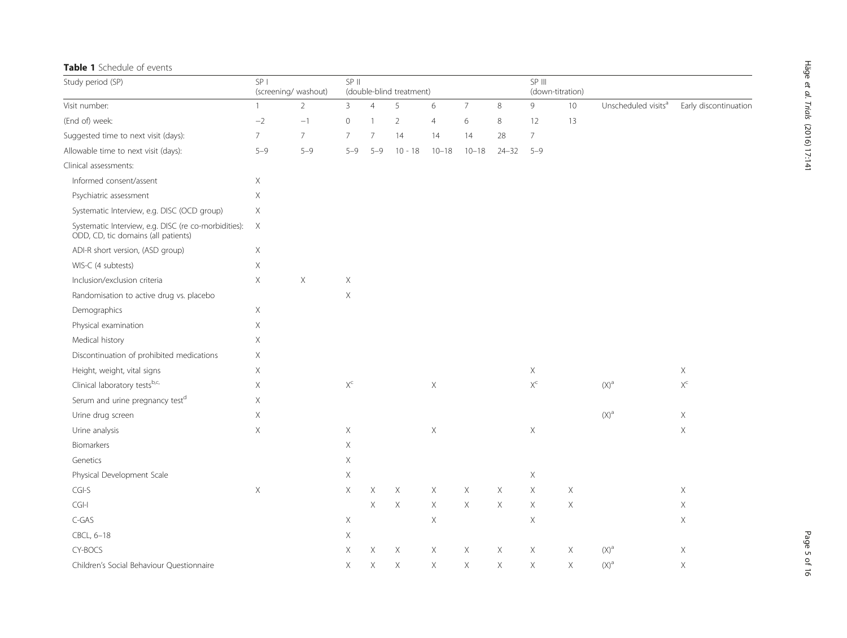# <span id="page-4-0"></span>Table 1 Schedule of events

| Study period (SP)                                                                           | SP <sub>1</sub><br>(screening/washout) |                | SP II<br>(double-blind treatment) |                |                |                |                 |             | SP III<br>(down-titration) |                 |                                 |                         |
|---------------------------------------------------------------------------------------------|----------------------------------------|----------------|-----------------------------------|----------------|----------------|----------------|-----------------|-------------|----------------------------|-----------------|---------------------------------|-------------------------|
| Visit number:                                                                               | $\mathbf{1}$                           | $\overline{2}$ | $\overline{3}$                    | $\overline{4}$ | 5              | 6              | $7\overline{ }$ | 8           | 9                          | 10 <sup>°</sup> | Unscheduled visits <sup>a</sup> | Early discontinuation   |
| (End of) week:                                                                              | $-2$                                   | $-1$           | $\mathbf{0}$                      | $\mathbf{1}$   | $\overline{2}$ | $\overline{4}$ | 6               | 8           | 12                         | 13              |                                 |                         |
| Suggested time to next visit (days):                                                        | $\overline{7}$                         | $7^{\circ}$    | $\overline{7}$                    | $\overline{7}$ | 14             | 14             | 14              | 28          | $7^{\circ}$                |                 |                                 |                         |
| Allowable time to next visit (days):                                                        | $5 - 9$                                | $5 - 9$        | $5 - 9$                           | $5 - 9$        | $10 - 18$      | $10 - 18$      | $10 - 18$       | $24 - 32$   | $5 - 9$                    |                 |                                 |                         |
| Clinical assessments:                                                                       |                                        |                |                                   |                |                |                |                 |             |                            |                 |                                 |                         |
| Informed consent/assent                                                                     | X                                      |                |                                   |                |                |                |                 |             |                            |                 |                                 |                         |
| Psychiatric assessment                                                                      | X                                      |                |                                   |                |                |                |                 |             |                            |                 |                                 |                         |
| Systematic Interview, e.g. DISC (OCD group)                                                 | Χ                                      |                |                                   |                |                |                |                 |             |                            |                 |                                 |                         |
| Systematic Interview, e.g. DISC (re co-morbidities):<br>ODD, CD, tic domains (all patients) | $\times$                               |                |                                   |                |                |                |                 |             |                            |                 |                                 |                         |
| ADI-R short version, (ASD group)                                                            | Χ                                      |                |                                   |                |                |                |                 |             |                            |                 |                                 |                         |
| WIS-C (4 subtests)                                                                          | X                                      |                |                                   |                |                |                |                 |             |                            |                 |                                 |                         |
| Inclusion/exclusion criteria                                                                | Χ                                      | X              | Χ                                 |                |                |                |                 |             |                            |                 |                                 |                         |
| Randomisation to active drug vs. placebo                                                    |                                        |                | $\mathsf X$                       |                |                |                |                 |             |                            |                 |                                 |                         |
| Demographics                                                                                | X                                      |                |                                   |                |                |                |                 |             |                            |                 |                                 |                         |
| Physical examination                                                                        | X                                      |                |                                   |                |                |                |                 |             |                            |                 |                                 |                         |
| Medical history                                                                             | Χ                                      |                |                                   |                |                |                |                 |             |                            |                 |                                 |                         |
| Discontinuation of prohibited medications                                                   | Χ                                      |                |                                   |                |                |                |                 |             |                            |                 |                                 |                         |
| Height, weight, vital signs                                                                 | X                                      |                |                                   |                |                |                |                 |             | X                          |                 |                                 | X                       |
| Clinical laboratory testsb,c,                                                               | Χ                                      |                | $\mathsf{X}^\mathsf{c}$           |                |                | $\mathsf X$    |                 |             | $\mathsf{X}^\mathsf{C}$    |                 | $(X)^a$                         | $\mathsf{X}^\mathsf{c}$ |
| Serum and urine pregnancy test <sup>d</sup>                                                 | X                                      |                |                                   |                |                |                |                 |             |                            |                 |                                 |                         |
| Urine drug screen                                                                           | X                                      |                |                                   |                |                |                |                 |             |                            |                 | $(X)^a$                         | X                       |
| Urine analysis                                                                              | X                                      |                | $\times$                          |                |                | $\mathsf X$    |                 |             | X                          |                 |                                 | Χ                       |
| Biomarkers                                                                                  |                                        |                | $\times$                          |                |                |                |                 |             |                            |                 |                                 |                         |
| Genetics                                                                                    |                                        |                | $\times$                          |                |                |                |                 |             |                            |                 |                                 |                         |
| Physical Development Scale                                                                  |                                        |                | Χ                                 |                |                |                |                 |             | $\times$                   |                 |                                 |                         |
| $CGI-S$                                                                                     | $\mathsf X$                            |                | Χ                                 | X              | Χ              | X              | X               | $\mathsf X$ | X                          | $\mathsf X$     |                                 | X                       |
| $CGI-I$                                                                                     |                                        |                |                                   | $\mathsf X$    | $\mathsf X$    | X              | $\times$        | $\times$    | $\times$                   | $\times$        |                                 | X.                      |
| C-GAS                                                                                       |                                        |                | $\times$                          |                |                | Χ              |                 |             | $\mathsf X$                |                 |                                 | X.                      |
| CBCL, 6-18                                                                                  |                                        |                | Χ                                 |                |                |                |                 |             |                            |                 |                                 |                         |
| CY-BOCS                                                                                     |                                        |                | Χ                                 | Χ              | Χ              | Χ              | Χ               | X           | Χ                          | Χ               | $(X)^a$                         | X.                      |
| Children's Social Behaviour Questionnaire                                                   |                                        |                | $\times$                          | X              | $\mathsf X$    | Χ              | Χ               | X           | $\times$                   | X               | $(X)^a$                         | Χ                       |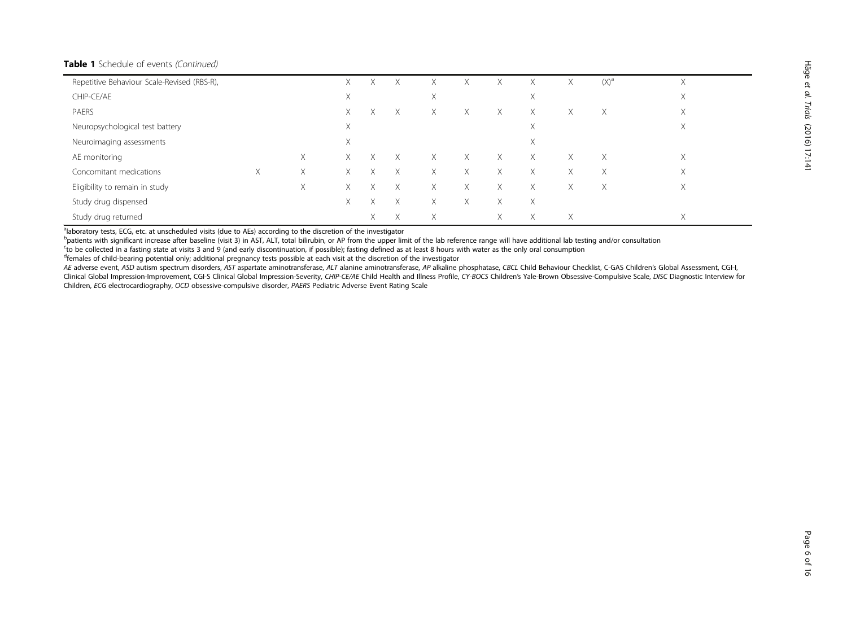#### Table 1 Schedule of events (Continued)

| Repetitive Behaviour Scale-Revised (RBS-R), |   |    | Χ  |   | X        | Χ | X | Χ | Х        |                | $(X)^a$ | $\wedge$ |
|---------------------------------------------|---|----|----|---|----------|---|---|---|----------|----------------|---------|----------|
| CHIP-CE/AE                                  |   |    | X  |   |          | X |   |   | X        |                |         | Χ        |
| PAERS                                       |   |    | X. | Χ | X        | X | Χ | X | X.       | Χ.             | X       | X        |
| Neuropsychological test battery             |   |    | Χ  |   |          |   |   |   | Χ        |                |         | Χ        |
| Neuroimaging assessments                    |   |    | X  |   |          |   |   |   | X        |                |         |          |
| AE monitoring                               |   | X. | X. | X | $\times$ | Χ | X | X | X        | X.             | X       | X        |
| Concomitant medications                     | Χ | X. | X. | X | X        | X | X | X | X        |                | X       | X        |
| Eligibility to remain in study              |   | X  | X. | Χ | X        | X | X | X | X.       | X.             | X       | X        |
| Study drug dispensed                        |   |    | X. | X | X        | X | X | X | X        |                |         |          |
| Study drug returned                         |   |    |    | X | X        | X |   | X | $\wedge$ | $\sqrt{}$<br>∧ |         | X        |

<sup>a</sup>laboratory tests, ECG, etc. at unscheduled visits (due to AEs) according to the discretion of the investigator

b<sub>patients</sub> with significant increase after baseline (visit 3) in AST, ALT, total bilirubin, or AP from the upper limit of the lab reference range will have additional lab testing and/or consultation consultation consultat

to be collected in a fasting state at visits 3 and 9 (and early discontinuation, if possible); fasting defined as at least 8 hours with water as the only oral consumption

females of child-bearing potential only; additional pregnancy tests possible at each visit at the discretion of the investigator

AE adverse event, ASD autism spectrum disorders, AST aspartate aminotransferase, ALT alanine aminotransferase, AP alkaline phosphatase, CBCL Child Behaviour Checklist, C-GAS Children's Global Assessment, CGI-I, Clinical Global Impression-Improvement, CGI-S Clinical Global Impression-Severity, CHIP-CE/AE Child Health and Illness Profile, CY-BOCS Children's Yale-Brown Obsessive-Compulsive Scale, DISC Diagnostic Interview for Children, ECG electrocardiography, OCD obsessive-compulsive disorder, PAERS Pediatric Adverse Event Rating Scale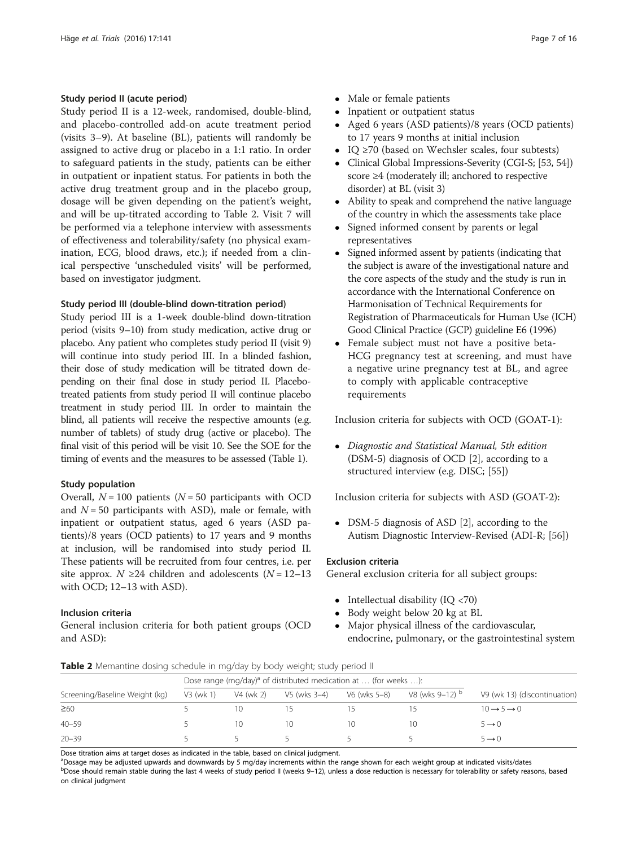#### <span id="page-6-0"></span>Study period II (acute period)

Study period II is a 12-week, randomised, double-blind, and placebo-controlled add-on acute treatment period (visits 3–9). At baseline (BL), patients will randomly be assigned to active drug or placebo in a 1:1 ratio. In order to safeguard patients in the study, patients can be either in outpatient or inpatient status. For patients in both the active drug treatment group and in the placebo group, dosage will be given depending on the patient's weight, and will be up-titrated according to Table 2. Visit 7 will be performed via a telephone interview with assessments of effectiveness and tolerability/safety (no physical examination, ECG, blood draws, etc.); if needed from a clinical perspective 'unscheduled visits' will be performed, based on investigator judgment.

#### Study period III (double-blind down-titration period)

Study period III is a 1-week double-blind down-titration period (visits 9–10) from study medication, active drug or placebo. Any patient who completes study period II (visit 9) will continue into study period III. In a blinded fashion, their dose of study medication will be titrated down depending on their final dose in study period II. Placebotreated patients from study period II will continue placebo treatment in study period III. In order to maintain the blind, all patients will receive the respective amounts (e.g. number of tablets) of study drug (active or placebo). The final visit of this period will be visit 10. See the SOE for the timing of events and the measures to be assessed (Table [1](#page-4-0)).

#### Study population

Overall,  $N = 100$  patients ( $N = 50$  participants with OCD and  $N = 50$  participants with ASD), male or female, with inpatient or outpatient status, aged 6 years (ASD patients)/8 years (OCD patients) to 17 years and 9 months at inclusion, will be randomised into study period II. These patients will be recruited from four centres, i.e. per site approx.  $N \geq 24$  children and adolescents  $(N = 12 - 13)$ with OCD; 12–13 with ASD).

#### Inclusion criteria

General inclusion criteria for both patient groups (OCD and ASD):

- Male or female patients
- Inpatient or outpatient status
- Aged 6 years (ASD patients)/8 years (OCD patients) to 17 years 9 months at initial inclusion
- IQ ≥70 (based on Wechsler scales, four subtests)
- Clinical Global Impressions-Severity (CGI-S; [\[53,](#page-14-0) [54\]](#page-14-0)) score ≥4 (moderately ill; anchored to respective disorder) at BL (visit 3)
- Ability to speak and comprehend the native language of the country in which the assessments take place
- Signed informed consent by parents or legal representatives
- Signed informed assent by patients (indicating that the subject is aware of the investigational nature and the core aspects of the study and the study is run in accordance with the International Conference on Harmonisation of Technical Requirements for Registration of Pharmaceuticals for Human Use (ICH) Good Clinical Practice (GCP) guideline E6 (1996)
- Female subject must not have a positive beta-HCG pregnancy test at screening, and must have a negative urine pregnancy test at BL, and agree to comply with applicable contraceptive requirements

Inclusion criteria for subjects with OCD (GOAT-1):

 Diagnostic and Statistical Manual, 5th edition (DSM-5) diagnosis of OCD [\[2\]](#page-13-0), according to a structured interview (e.g. DISC; [[55](#page-14-0)])

Inclusion criteria for subjects with ASD (GOAT-2):

• DSM-5 diagnosis of ASD [\[2](#page-13-0)], according to the Autism Diagnostic Interview-Revised (ADI-R; [\[56\]](#page-14-0))

#### Exclusion criteria

General exclusion criteria for all subject groups:

- Intellectual disability  $(IQ < 70)$
- Body weight below 20 kg at BL
- Major physical illness of the cardiovascular, endocrine, pulmonary, or the gastrointestinal system

Table 2 Memantine dosing schedule in mg/day by body weight; study period II

|                                |           | Dose range $(mq/day)^a$ of distributed medication at  (for weeks ): |              |              |                 |                                  |
|--------------------------------|-----------|---------------------------------------------------------------------|--------------|--------------|-----------------|----------------------------------|
| Screening/Baseline Weight (kg) | V3 (wk 1) | V4 (wk 2)                                                           | V5 (wks 3-4) | V6 (wks 5-8) | V8 (wks 9-12) b | V9 (wk 13) (discontinuation)     |
| $\geq 60$                      |           |                                                                     |              |              |                 | $10 \rightarrow 5 \rightarrow 0$ |
| $40 - 59$                      |           |                                                                     |              | 10           |                 | $5 \rightarrow 0$                |
| $20 - 39$                      |           |                                                                     |              |              |                 | $5 \rightarrow 0$                |

Dose titration aims at target doses as indicated in the table, based on clinical judgment.

a<br>Dosage may be adjusted upwards and downwards by 5 mg/day increments within the range shown for each weight group at indicated visits/dates b<br>Dose should remain stable during the last 4 weeks of study period II (weeks 9–12), unless a dose reduction is necessary for tolerability or safety reasons, based on clinical judgment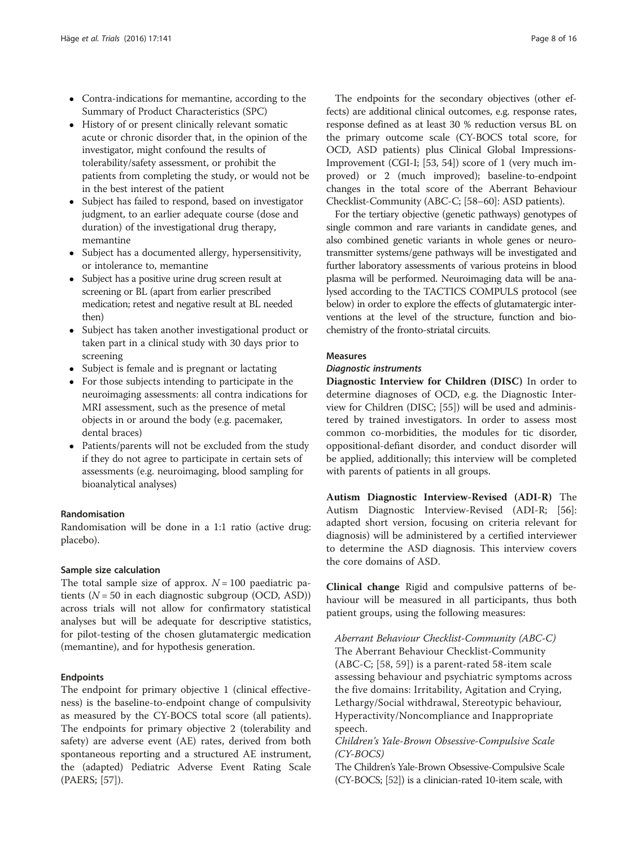- Contra-indications for memantine, according to the Summary of Product Characteristics (SPC)
- History of or present clinically relevant somatic acute or chronic disorder that, in the opinion of the investigator, might confound the results of tolerability/safety assessment, or prohibit the patients from completing the study, or would not be in the best interest of the patient
- Subject has failed to respond, based on investigator judgment, to an earlier adequate course (dose and duration) of the investigational drug therapy, memantine
- Subject has a documented allergy, hypersensitivity, or intolerance to, memantine
- Subject has a positive urine drug screen result at screening or BL (apart from earlier prescribed medication; retest and negative result at BL needed then)
- Subject has taken another investigational product or taken part in a clinical study with 30 days prior to screening
- Subject is female and is pregnant or lactating
- For those subjects intending to participate in the neuroimaging assessments: all contra indications for MRI assessment, such as the presence of metal objects in or around the body (e.g. pacemaker, dental braces)
- Patients/parents will not be excluded from the study if they do not agree to participate in certain sets of assessments (e.g. neuroimaging, blood sampling for bioanalytical analyses)

#### Randomisation

Randomisation will be done in a 1:1 ratio (active drug: placebo).

#### Sample size calculation

The total sample size of approx.  $N = 100$  paediatric patients ( $N = 50$  in each diagnostic subgroup (OCD, ASD)) across trials will not allow for confirmatory statistical analyses but will be adequate for descriptive statistics, for pilot-testing of the chosen glutamatergic medication (memantine), and for hypothesis generation.

#### Endpoints

The endpoint for primary objective 1 (clinical effectiveness) is the baseline-to-endpoint change of compulsivity as measured by the CY-BOCS total score (all patients). The endpoints for primary objective 2 (tolerability and safety) are adverse event (AE) rates, derived from both spontaneous reporting and a structured AE instrument, the (adapted) Pediatric Adverse Event Rating Scale (PAERS; [[57\]](#page-15-0)).

The endpoints for the secondary objectives (other effects) are additional clinical outcomes, e.g. response rates, response defined as at least 30 % reduction versus BL on the primary outcome scale (CY-BOCS total score, for OCD, ASD patients) plus Clinical Global Impressions-Improvement (CGI-I; [[53](#page-14-0), [54](#page-14-0)]) score of 1 (very much improved) or 2 (much improved); baseline-to-endpoint changes in the total score of the Aberrant Behaviour Checklist-Community (ABC-C; [\[58](#page-15-0)–[60](#page-15-0)]: ASD patients).

For the tertiary objective (genetic pathways) genotypes of single common and rare variants in candidate genes, and also combined genetic variants in whole genes or neurotransmitter systems/gene pathways will be investigated and further laboratory assessments of various proteins in blood plasma will be performed. Neuroimaging data will be analysed according to the TACTICS COMPULS protocol (see below) in order to explore the effects of glutamatergic interventions at the level of the structure, function and biochemistry of the fronto-striatal circuits.

# Measures

#### Diagnostic instruments

Diagnostic Interview for Children (DISC) In order to determine diagnoses of OCD, e.g. the Diagnostic Interview for Children (DISC; [\[55](#page-14-0)]) will be used and administered by trained investigators. In order to assess most common co-morbidities, the modules for tic disorder, oppositional-defiant disorder, and conduct disorder will be applied, additionally; this interview will be completed with parents of patients in all groups.

Autism Diagnostic Interview-Revised (ADI-R) The Autism Diagnostic Interview-Revised (ADI-R; [\[56](#page-14-0)]: adapted short version, focusing on criteria relevant for diagnosis) will be administered by a certified interviewer to determine the ASD diagnosis. This interview covers the core domains of ASD.

Clinical change Rigid and compulsive patterns of behaviour will be measured in all participants, thus both patient groups, using the following measures:

Aberrant Behaviour Checklist-Community (ABC-C) The Aberrant Behaviour Checklist-Community (ABC-C; [[58,](#page-15-0) [59\]](#page-15-0)) is a parent-rated 58-item scale assessing behaviour and psychiatric symptoms across the five domains: Irritability, Agitation and Crying, Lethargy/Social withdrawal, Stereotypic behaviour, Hyperactivity/Noncompliance and Inappropriate speech.

Children's Yale-Brown Obsessive-Compulsive Scale (CY-BOCS)

The Children's Yale-Brown Obsessive-Compulsive Scale (CY-BOCS; [[52\]](#page-14-0)) is a clinician-rated 10-item scale, with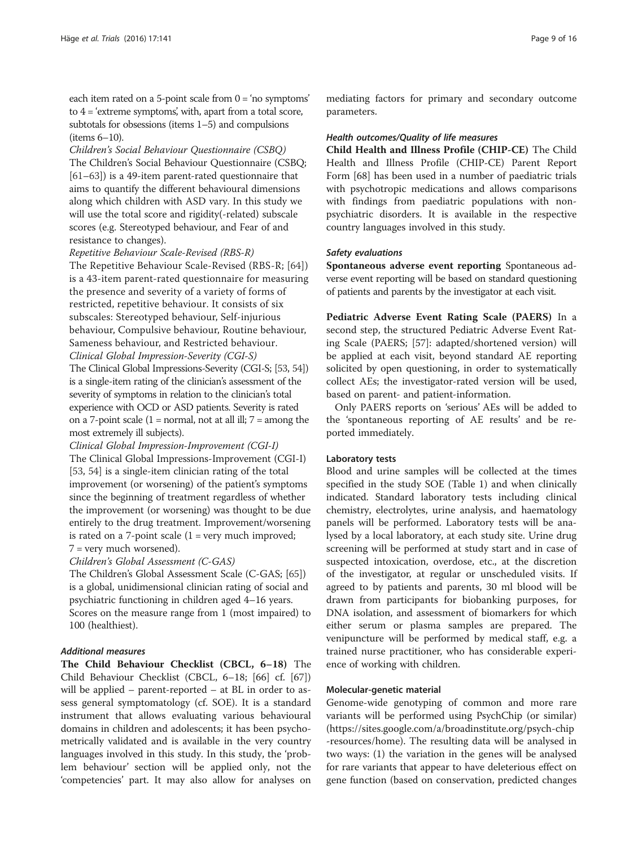each item rated on a 5-point scale from  $0 = 'no$  symptoms' to  $4 = 'extreme$  symptoms', with, apart from a total score, subtotals for obsessions (items 1–5) and compulsions (items 6–10).

Children's Social Behaviour Questionnaire (CSBQ) The Children's Social Behaviour Questionnaire (CSBQ; [[61](#page-15-0)–[63](#page-15-0)]) is a 49-item parent-rated questionnaire that aims to quantify the different behavioural dimensions along which children with ASD vary. In this study we will use the total score and rigidity(-related) subscale scores (e.g. Stereotyped behaviour, and Fear of and resistance to changes).

#### Repetitive Behaviour Scale-Revised (RBS-R)

The Repetitive Behaviour Scale-Revised (RBS-R; [\[64](#page-15-0)]) is a 43-item parent-rated questionnaire for measuring the presence and severity of a variety of forms of restricted, repetitive behaviour. It consists of six subscales: Stereotyped behaviour, Self-injurious behaviour, Compulsive behaviour, Routine behaviour, Sameness behaviour, and Restricted behaviour. Clinical Global Impression-Severity (CGI-S)

The Clinical Global Impressions-Severity (CGI-S; [\[53](#page-14-0), [54](#page-14-0)]) is a single-item rating of the clinician's assessment of the severity of symptoms in relation to the clinician's total experience with OCD or ASD patients. Severity is rated on a 7-point scale  $(1 = normal, not at all ill; 7 = among the$ most extremely ill subjects).

Clinical Global Impression-Improvement (CGI-I) The Clinical Global Impressions-Improvement (CGI-I) [[53](#page-14-0), [54](#page-14-0)] is a single-item clinician rating of the total improvement (or worsening) of the patient's symptoms since the beginning of treatment regardless of whether the improvement (or worsening) was thought to be due entirely to the drug treatment. Improvement/worsening is rated on a  $7$ -point scale  $(1 = \text{very much improved})$ 7 = very much worsened).

#### Children's Global Assessment (C-GAS)

The Children's Global Assessment Scale (C-GAS; [[65](#page-15-0)]) is a global, unidimensional clinician rating of social and psychiatric functioning in children aged 4–16 years. Scores on the measure range from 1 (most impaired) to 100 (healthiest).

#### Additional measures

The Child Behaviour Checklist (CBCL, 6–18) The Child Behaviour Checklist (CBCL, 6–18; [[66\]](#page-15-0) cf. [\[67](#page-15-0)]) will be applied – parent-reported – at BL in order to assess general symptomatology (cf. SOE). It is a standard instrument that allows evaluating various behavioural domains in children and adolescents; it has been psychometrically validated and is available in the very country languages involved in this study. In this study, the 'problem behaviour' section will be applied only, not the 'competencies' part. It may also allow for analyses on

mediating factors for primary and secondary outcome parameters.

#### Health outcomes/Quality of life measures

Child Health and Illness Profile (CHIP-CE) The Child Health and Illness Profile (CHIP-CE) Parent Report Form [\[68\]](#page-15-0) has been used in a number of paediatric trials with psychotropic medications and allows comparisons with findings from paediatric populations with nonpsychiatric disorders. It is available in the respective country languages involved in this study.

#### Safety evaluations

Spontaneous adverse event reporting Spontaneous adverse event reporting will be based on standard questioning of patients and parents by the investigator at each visit.

Pediatric Adverse Event Rating Scale (PAERS) In a second step, the structured Pediatric Adverse Event Rating Scale (PAERS; [[57\]](#page-15-0): adapted/shortened version) will be applied at each visit, beyond standard AE reporting solicited by open questioning, in order to systematically collect AEs; the investigator-rated version will be used, based on parent- and patient-information.

Only PAERS reports on 'serious' AEs will be added to the 'spontaneous reporting of AE results' and be reported immediately.

#### Laboratory tests

Blood and urine samples will be collected at the times specified in the study SOE (Table [1](#page-4-0)) and when clinically indicated. Standard laboratory tests including clinical chemistry, electrolytes, urine analysis, and haematology panels will be performed. Laboratory tests will be analysed by a local laboratory, at each study site. Urine drug screening will be performed at study start and in case of suspected intoxication, overdose, etc., at the discretion of the investigator, at regular or unscheduled visits. If agreed to by patients and parents, 30 ml blood will be drawn from participants for biobanking purposes, for DNA isolation, and assessment of biomarkers for which either serum or plasma samples are prepared. The venipuncture will be performed by medical staff, e.g. a trained nurse practitioner, who has considerable experience of working with children.

#### Molecular-genetic material

Genome-wide genotyping of common and more rare variants will be performed using PsychChip (or similar) ([https://sites.google.com/a/broadinstitute.org/psych-chip](https://sites.google.com/a/broadinstitute.org/psych-chip-resources/home) [-resources/home](https://sites.google.com/a/broadinstitute.org/psych-chip-resources/home)). The resulting data will be analysed in two ways: (1) the variation in the genes will be analysed for rare variants that appear to have deleterious effect on gene function (based on conservation, predicted changes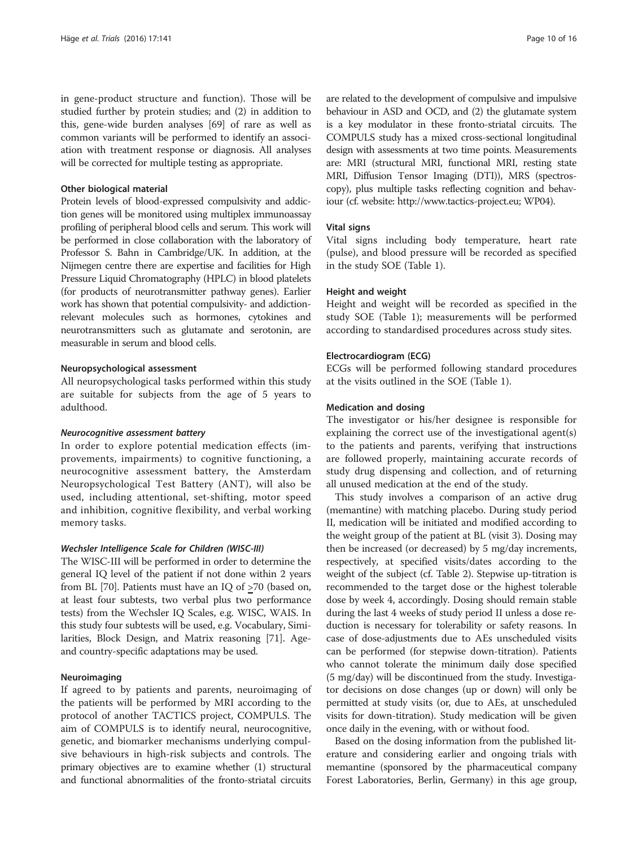in gene-product structure and function). Those will be studied further by protein studies; and (2) in addition to this, gene-wide burden analyses [[69](#page-15-0)] of rare as well as common variants will be performed to identify an association with treatment response or diagnosis. All analyses will be corrected for multiple testing as appropriate.

#### Other biological material

Protein levels of blood-expressed compulsivity and addiction genes will be monitored using multiplex immunoassay profiling of peripheral blood cells and serum. This work will be performed in close collaboration with the laboratory of Professor S. Bahn in Cambridge/UK. In addition, at the Nijmegen centre there are expertise and facilities for High Pressure Liquid Chromatography (HPLC) in blood platelets (for products of neurotransmitter pathway genes). Earlier work has shown that potential compulsivity- and addictionrelevant molecules such as hormones, cytokines and neurotransmitters such as glutamate and serotonin, are measurable in serum and blood cells.

#### Neuropsychological assessment

All neuropsychological tasks performed within this study are suitable for subjects from the age of 5 years to adulthood.

#### Neurocognitive assessment battery

In order to explore potential medication effects (improvements, impairments) to cognitive functioning, a neurocognitive assessment battery, the Amsterdam Neuropsychological Test Battery (ANT), will also be used, including attentional, set-shifting, motor speed and inhibition, cognitive flexibility, and verbal working memory tasks.

#### Wechsler Intelligence Scale for Children (WISC-III)

The WISC-III will be performed in order to determine the general IQ level of the patient if not done within 2 years from BL [[70](#page-15-0)]. Patients must have an IQ of >70 (based on, at least four subtests, two verbal plus two performance tests) from the Wechsler IQ Scales, e.g. WISC, WAIS. In this study four subtests will be used, e.g. Vocabulary, Similarities, Block Design, and Matrix reasoning [\[71\]](#page-15-0). Ageand country-specific adaptations may be used.

#### Neuroimaging

If agreed to by patients and parents, neuroimaging of the patients will be performed by MRI according to the protocol of another TACTICS project, COMPULS. The aim of COMPULS is to identify neural, neurocognitive, genetic, and biomarker mechanisms underlying compulsive behaviours in high-risk subjects and controls. The primary objectives are to examine whether (1) structural and functional abnormalities of the fronto-striatal circuits are related to the development of compulsive and impulsive behaviour in ASD and OCD, and (2) the glutamate system is a key modulator in these fronto-striatal circuits. The COMPULS study has a mixed cross-sectional longitudinal design with assessments at two time points. Measurements are: MRI (structural MRI, functional MRI, resting state MRI, Diffusion Tensor Imaging (DTI)), MRS (spectroscopy), plus multiple tasks reflecting cognition and behaviour (cf. website: [http://www.tactics-project.eu](http://www.tactics-project.eu/); WP04).

#### Vital signs

Vital signs including body temperature, heart rate (pulse), and blood pressure will be recorded as specified in the study SOE (Table [1\)](#page-4-0).

#### Height and weight

Height and weight will be recorded as specified in the study SOE (Table [1\)](#page-4-0); measurements will be performed according to standardised procedures across study sites.

#### Electrocardiogram (ECG)

ECGs will be performed following standard procedures at the visits outlined in the SOE (Table [1](#page-4-0)).

#### Medication and dosing

The investigator or his/her designee is responsible for explaining the correct use of the investigational agent(s) to the patients and parents, verifying that instructions are followed properly, maintaining accurate records of study drug dispensing and collection, and of returning all unused medication at the end of the study.

This study involves a comparison of an active drug (memantine) with matching placebo. During study period II, medication will be initiated and modified according to the weight group of the patient at BL (visit 3). Dosing may then be increased (or decreased) by 5 mg/day increments, respectively, at specified visits/dates according to the weight of the subject (cf. Table [2](#page-6-0)). Stepwise up-titration is recommended to the target dose or the highest tolerable dose by week 4, accordingly. Dosing should remain stable during the last 4 weeks of study period II unless a dose reduction is necessary for tolerability or safety reasons. In case of dose-adjustments due to AEs unscheduled visits can be performed (for stepwise down-titration). Patients who cannot tolerate the minimum daily dose specified (5 mg/day) will be discontinued from the study. Investigator decisions on dose changes (up or down) will only be permitted at study visits (or, due to AEs, at unscheduled visits for down-titration). Study medication will be given once daily in the evening, with or without food.

Based on the dosing information from the published literature and considering earlier and ongoing trials with memantine (sponsored by the pharmaceutical company Forest Laboratories, Berlin, Germany) in this age group,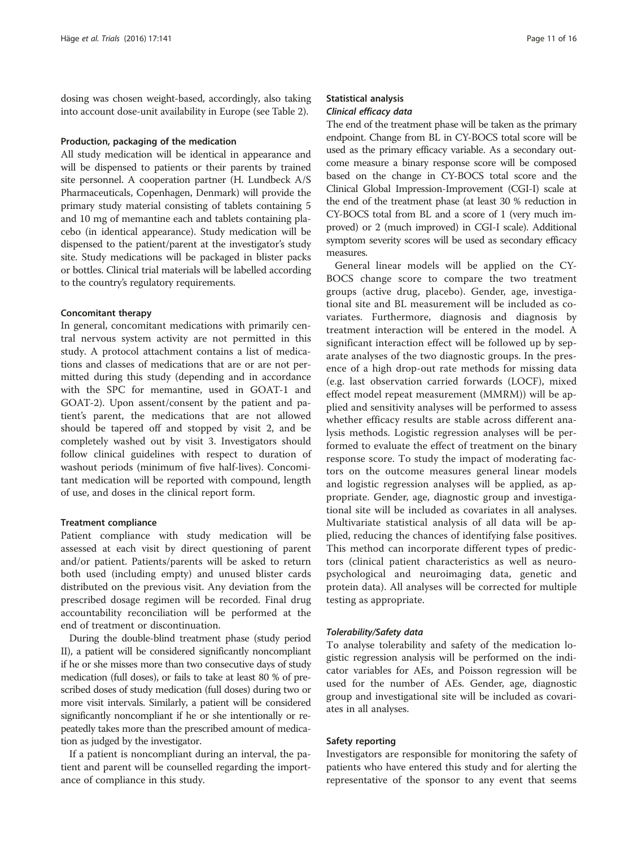dosing was chosen weight-based, accordingly, also taking into account dose-unit availability in Europe (see Table [2\)](#page-6-0).

#### Production, packaging of the medication

All study medication will be identical in appearance and will be dispensed to patients or their parents by trained site personnel. A cooperation partner (H. Lundbeck A/S Pharmaceuticals, Copenhagen, Denmark) will provide the primary study material consisting of tablets containing 5 and 10 mg of memantine each and tablets containing placebo (in identical appearance). Study medication will be dispensed to the patient/parent at the investigator's study site. Study medications will be packaged in blister packs or bottles. Clinical trial materials will be labelled according to the country's regulatory requirements.

#### Concomitant therapy

In general, concomitant medications with primarily central nervous system activity are not permitted in this study. A protocol attachment contains a list of medications and classes of medications that are or are not permitted during this study (depending and in accordance with the SPC for memantine, used in GOAT-1 and GOAT-2). Upon assent/consent by the patient and patient's parent, the medications that are not allowed should be tapered off and stopped by visit 2, and be completely washed out by visit 3. Investigators should follow clinical guidelines with respect to duration of washout periods (minimum of five half-lives). Concomitant medication will be reported with compound, length of use, and doses in the clinical report form.

#### Treatment compliance

Patient compliance with study medication will be assessed at each visit by direct questioning of parent and/or patient. Patients/parents will be asked to return both used (including empty) and unused blister cards distributed on the previous visit. Any deviation from the prescribed dosage regimen will be recorded. Final drug accountability reconciliation will be performed at the end of treatment or discontinuation.

During the double-blind treatment phase (study period II), a patient will be considered significantly noncompliant if he or she misses more than two consecutive days of study medication (full doses), or fails to take at least 80 % of prescribed doses of study medication (full doses) during two or more visit intervals. Similarly, a patient will be considered significantly noncompliant if he or she intentionally or repeatedly takes more than the prescribed amount of medication as judged by the investigator.

If a patient is noncompliant during an interval, the patient and parent will be counselled regarding the importance of compliance in this study.

#### Statistical analysis Clinical efficacy data

The end of the treatment phase will be taken as the primary endpoint. Change from BL in CY-BOCS total score will be used as the primary efficacy variable. As a secondary outcome measure a binary response score will be composed based on the change in CY-BOCS total score and the Clinical Global Impression-Improvement (CGI-I) scale at the end of the treatment phase (at least 30 % reduction in CY-BOCS total from BL and a score of 1 (very much improved) or 2 (much improved) in CGI-I scale). Additional symptom severity scores will be used as secondary efficacy measures.

General linear models will be applied on the CY-BOCS change score to compare the two treatment groups (active drug, placebo). Gender, age, investigational site and BL measurement will be included as covariates. Furthermore, diagnosis and diagnosis by treatment interaction will be entered in the model. A significant interaction effect will be followed up by separate analyses of the two diagnostic groups. In the presence of a high drop-out rate methods for missing data (e.g. last observation carried forwards (LOCF), mixed effect model repeat measurement (MMRM)) will be applied and sensitivity analyses will be performed to assess whether efficacy results are stable across different analysis methods. Logistic regression analyses will be performed to evaluate the effect of treatment on the binary response score. To study the impact of moderating factors on the outcome measures general linear models and logistic regression analyses will be applied, as appropriate. Gender, age, diagnostic group and investigational site will be included as covariates in all analyses. Multivariate statistical analysis of all data will be applied, reducing the chances of identifying false positives. This method can incorporate different types of predictors (clinical patient characteristics as well as neuropsychological and neuroimaging data, genetic and protein data). All analyses will be corrected for multiple testing as appropriate.

#### Tolerability/Safety data

To analyse tolerability and safety of the medication logistic regression analysis will be performed on the indicator variables for AEs, and Poisson regression will be used for the number of AEs. Gender, age, diagnostic group and investigational site will be included as covariates in all analyses.

#### Safety reporting

Investigators are responsible for monitoring the safety of patients who have entered this study and for alerting the representative of the sponsor to any event that seems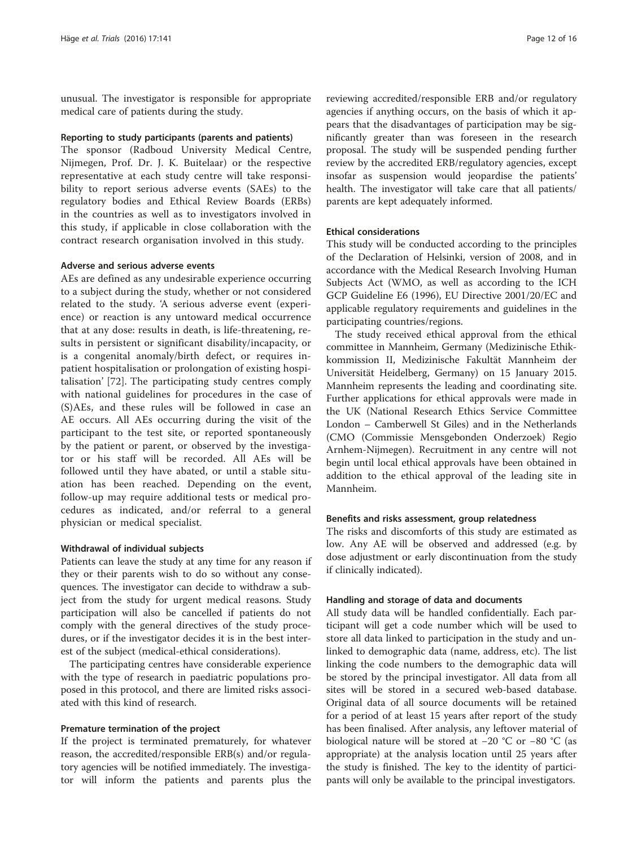unusual. The investigator is responsible for appropriate medical care of patients during the study.

#### Reporting to study participants (parents and patients)

The sponsor (Radboud University Medical Centre, Nijmegen, Prof. Dr. J. K. Buitelaar) or the respective representative at each study centre will take responsibility to report serious adverse events (SAEs) to the regulatory bodies and Ethical Review Boards (ERBs) in the countries as well as to investigators involved in this study, if applicable in close collaboration with the contract research organisation involved in this study.

#### Adverse and serious adverse events

AEs are defined as any undesirable experience occurring to a subject during the study, whether or not considered related to the study. 'A serious adverse event (experience) or reaction is any untoward medical occurrence that at any dose: results in death, is life-threatening, results in persistent or significant disability/incapacity, or is a congenital anomaly/birth defect, or requires inpatient hospitalisation or prolongation of existing hospitalisation' [[72](#page-15-0)]. The participating study centres comply with national guidelines for procedures in the case of (S)AEs, and these rules will be followed in case an AE occurs. All AEs occurring during the visit of the participant to the test site, or reported spontaneously by the patient or parent, or observed by the investigator or his staff will be recorded. All AEs will be followed until they have abated, or until a stable situation has been reached. Depending on the event, follow-up may require additional tests or medical procedures as indicated, and/or referral to a general physician or medical specialist.

#### Withdrawal of individual subjects

Patients can leave the study at any time for any reason if they or their parents wish to do so without any consequences. The investigator can decide to withdraw a subject from the study for urgent medical reasons. Study participation will also be cancelled if patients do not comply with the general directives of the study procedures, or if the investigator decides it is in the best interest of the subject (medical-ethical considerations).

The participating centres have considerable experience with the type of research in paediatric populations proposed in this protocol, and there are limited risks associated with this kind of research.

#### Premature termination of the project

If the project is terminated prematurely, for whatever reason, the accredited/responsible ERB(s) and/or regulatory agencies will be notified immediately. The investigator will inform the patients and parents plus the

reviewing accredited/responsible ERB and/or regulatory agencies if anything occurs, on the basis of which it appears that the disadvantages of participation may be significantly greater than was foreseen in the research proposal. The study will be suspended pending further review by the accredited ERB/regulatory agencies, except insofar as suspension would jeopardise the patients' health. The investigator will take care that all patients/ parents are kept adequately informed.

#### Ethical considerations

This study will be conducted according to the principles of the Declaration of Helsinki, version of 2008, and in accordance with the Medical Research Involving Human Subjects Act (WMO, as well as according to the ICH GCP Guideline E6 (1996), EU Directive 2001/20/EC and applicable regulatory requirements and guidelines in the participating countries/regions.

The study received ethical approval from the ethical committee in Mannheim, Germany (Medizinische Ethikkommission II, Medizinische Fakultät Mannheim der Universität Heidelberg, Germany) on 15 January 2015. Mannheim represents the leading and coordinating site. Further applications for ethical approvals were made in the UK (National Research Ethics Service Committee London – Camberwell St Giles) and in the Netherlands (CMO (Commissie Mensgebonden Onderzoek) Regio Arnhem-Nijmegen). Recruitment in any centre will not begin until local ethical approvals have been obtained in addition to the ethical approval of the leading site in Mannheim.

#### Benefits and risks assessment, group relatedness

The risks and discomforts of this study are estimated as low. Any AE will be observed and addressed (e.g. by dose adjustment or early discontinuation from the study if clinically indicated).

#### Handling and storage of data and documents

All study data will be handled confidentially. Each participant will get a code number which will be used to store all data linked to participation in the study and unlinked to demographic data (name, address, etc). The list linking the code numbers to the demographic data will be stored by the principal investigator. All data from all sites will be stored in a secured web-based database. Original data of all source documents will be retained for a period of at least 15 years after report of the study has been finalised. After analysis, any leftover material of biological nature will be stored at −20 °C or −80 °C (as appropriate) at the analysis location until 25 years after the study is finished. The key to the identity of participants will only be available to the principal investigators.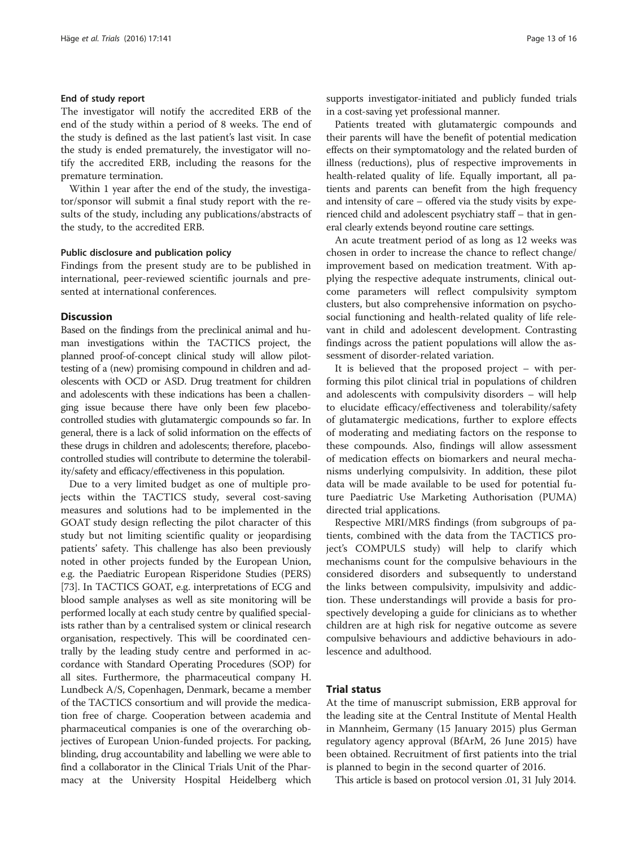#### End of study report

The investigator will notify the accredited ERB of the end of the study within a period of 8 weeks. The end of the study is defined as the last patient's last visit. In case the study is ended prematurely, the investigator will notify the accredited ERB, including the reasons for the premature termination.

Within 1 year after the end of the study, the investigator/sponsor will submit a final study report with the results of the study, including any publications/abstracts of the study, to the accredited ERB.

#### Public disclosure and publication policy

Findings from the present study are to be published in international, peer-reviewed scientific journals and presented at international conferences.

#### **Discussion**

Based on the findings from the preclinical animal and human investigations within the TACTICS project, the planned proof-of-concept clinical study will allow pilottesting of a (new) promising compound in children and adolescents with OCD or ASD. Drug treatment for children and adolescents with these indications has been a challenging issue because there have only been few placebocontrolled studies with glutamatergic compounds so far. In general, there is a lack of solid information on the effects of these drugs in children and adolescents; therefore, placebocontrolled studies will contribute to determine the tolerability/safety and efficacy/effectiveness in this population.

Due to a very limited budget as one of multiple projects within the TACTICS study, several cost-saving measures and solutions had to be implemented in the GOAT study design reflecting the pilot character of this study but not limiting scientific quality or jeopardising patients' safety. This challenge has also been previously noted in other projects funded by the European Union, e.g. the Paediatric European Risperidone Studies (PERS) [[73](#page-15-0)]. In TACTICS GOAT, e.g. interpretations of ECG and blood sample analyses as well as site monitoring will be performed locally at each study centre by qualified specialists rather than by a centralised system or clinical research organisation, respectively. This will be coordinated centrally by the leading study centre and performed in accordance with Standard Operating Procedures (SOP) for all sites. Furthermore, the pharmaceutical company H. Lundbeck A/S, Copenhagen, Denmark, became a member of the TACTICS consortium and will provide the medication free of charge. Cooperation between academia and pharmaceutical companies is one of the overarching objectives of European Union-funded projects. For packing, blinding, drug accountability and labelling we were able to find a collaborator in the Clinical Trials Unit of the Pharmacy at the University Hospital Heidelberg which supports investigator-initiated and publicly funded trials in a cost-saving yet professional manner.

Patients treated with glutamatergic compounds and their parents will have the benefit of potential medication effects on their symptomatology and the related burden of illness (reductions), plus of respective improvements in health-related quality of life. Equally important, all patients and parents can benefit from the high frequency and intensity of care – offered via the study visits by experienced child and adolescent psychiatry staff – that in general clearly extends beyond routine care settings.

An acute treatment period of as long as 12 weeks was chosen in order to increase the chance to reflect change/ improvement based on medication treatment. With applying the respective adequate instruments, clinical outcome parameters will reflect compulsivity symptom clusters, but also comprehensive information on psychosocial functioning and health-related quality of life relevant in child and adolescent development. Contrasting findings across the patient populations will allow the assessment of disorder-related variation.

It is believed that the proposed project – with performing this pilot clinical trial in populations of children and adolescents with compulsivity disorders – will help to elucidate efficacy/effectiveness and tolerability/safety of glutamatergic medications, further to explore effects of moderating and mediating factors on the response to these compounds. Also, findings will allow assessment of medication effects on biomarkers and neural mechanisms underlying compulsivity. In addition, these pilot data will be made available to be used for potential future Paediatric Use Marketing Authorisation (PUMA) directed trial applications.

Respective MRI/MRS findings (from subgroups of patients, combined with the data from the TACTICS project's COMPULS study) will help to clarify which mechanisms count for the compulsive behaviours in the considered disorders and subsequently to understand the links between compulsivity, impulsivity and addiction. These understandings will provide a basis for prospectively developing a guide for clinicians as to whether children are at high risk for negative outcome as severe compulsive behaviours and addictive behaviours in adolescence and adulthood.

# Trial status

At the time of manuscript submission, ERB approval for the leading site at the Central Institute of Mental Health in Mannheim, Germany (15 January 2015) plus German regulatory agency approval (BfArM, 26 June 2015) have been obtained. Recruitment of first patients into the trial is planned to begin in the second quarter of 2016.

This article is based on protocol version .01, 31 July 2014.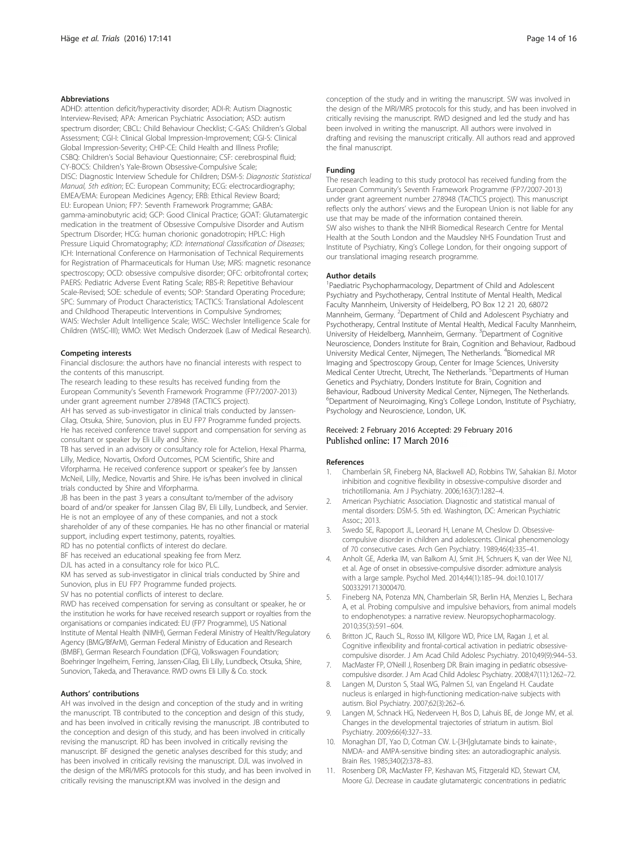#### <span id="page-13-0"></span>Abbreviations

ADHD: attention deficit/hyperactivity disorder; ADI-R: Autism Diagnostic Interview-Revised; APA: American Psychiatric Association; ASD: autism spectrum disorder; CBCL: Child Behaviour Checklist; C-GAS: Children's Global Assessment; CGI-I: Clinical Global Impression-Improvement; CGI-S: Clinical Global Impression-Severity; CHIP-CE: Child Health and Illness Profile; CSBQ: Children's Social Behaviour Questionnaire; CSF: cerebrospinal fluid; CY-BOCS: Children's Yale-Brown Obsessive-Compulsive Scale; DISC: Diagnostic Interview Schedule for Children; DSM-5: Diagnostic Statistical Manual, 5th edition; EC: European Community; ECG: electrocardiography; EMEA/EMA: European Medicines Agency; ERB: Ethical Review Board; EU: European Union; FP7: Seventh Framework Programme; GABA: gamma-aminobutyric acid; GCP: Good Clinical Practice; GOAT: Glutamatergic medication in the treatment of Obsessive Compulsive Disorder and Autism Spectrum Disorder; HCG: human chorionic gonadotropin; HPLC: High Pressure Liquid Chromatography; ICD: International Classification of Diseases; ICH: International Conference on Harmonisation of Technical Requirements for Registration of Pharmaceuticals for Human Use; MRS: magnetic resonance spectroscopy; OCD: obsessive compulsive disorder; OFC: orbitofrontal cortex; PAERS: Pediatric Adverse Event Rating Scale; RBS-R: Repetitive Behaviour Scale-Revised; SOE: schedule of events; SOP: Standard Operating Procedure; SPC: Summary of Product Characteristics; TACTICS: Translational Adolescent and Childhood Therapeutic Interventions in Compulsive Syndromes; WAIS: Wechsler Adult Intelligence Scale; WISC: Wechsler Intelligence Scale for Children (WISC-III); WMO: Wet Medisch Onderzoek (Law of Medical Research).

#### Competing interests

Financial disclosure: the authors have no financial interests with respect to the contents of this manuscript.

The research leading to these results has received funding from the European Community's Seventh Framework Programme (FP7/2007-2013) under grant agreement number 278948 (TACTICS project).

AH has served as sub-investigator in clinical trials conducted by Janssen-Cilag, Otsuka, Shire, Sunovion, plus in EU FP7 Programme funded projects. He has received conference travel support and compensation for serving as consultant or speaker by Eli Lilly and Shire.

TB has served in an advisory or consultancy role for Actelion, Hexal Pharma, Lilly, Medice, Novartis, Oxford Outcomes, PCM Scientific, Shire and Viforpharma. He received conference support or speaker's fee by Janssen McNeil, Lilly, Medice, Novartis and Shire. He is/has been involved in clinical trials conducted by Shire and Viforpharma.

JB has been in the past 3 years a consultant to/member of the advisory board of and/or speaker for Janssen Cilag BV, Eli Lilly, Lundbeck, and Servier. He is not an employee of any of these companies, and not a stock shareholder of any of these companies. He has no other financial or material

support, including expert testimony, patents, royalties. RD has no potential conflicts of interest do declare.

BF has received an educational speaking fee from Merz.

DJL has acted in a consultancy role for Ixico PLC.

KM has served as sub-investigator in clinical trials conducted by Shire and Sunovion, plus in EU FP7 Programme funded projects.

SV has no potential conflicts of interest to declare.

RWD has received compensation for serving as consultant or speaker, he or the institution he works for have received research support or royalties from the organisations or companies indicated: EU (FP7 Programme), US National Institute of Mental Health (NIMH), German Federal Ministry of Health/Regulatory Agency (BMG/BfArM), German Federal Ministry of Education and Research (BMBF), German Research Foundation (DFG), Volkswagen Foundation; Boehringer Ingelheim, Ferring, Janssen-Cilag, Eli Lilly, Lundbeck, Otsuka, Shire, Sunovion, Takeda, and Theravance. RWD owns Eli Lilly & Co. stock.

#### Authors' contributions

AH was involved in the design and conception of the study and in writing the manuscript. TB contributed to the conception and design of this study, and has been involved in critically revising the manuscript. JB contributed to the conception and design of this study, and has been involved in critically revising the manuscript. RD has been involved in critically revising the manuscript. BF designed the genetic analyses described for this study; and has been involved in critically revising the manuscript. DJL was involved in the design of the MRI/MRS protocols for this study, and has been involved in critically revising the manuscript.KM was involved in the design and

conception of the study and in writing the manuscript. SW was involved in the design of the MRI/MRS protocols for this study, and has been involved in critically revising the manuscript. RWD designed and led the study and has been involved in writing the manuscript. All authors were involved in drafting and revising the manuscript critically. All authors read and approved the final manuscript.

#### Funding

The research leading to this study protocol has received funding from the European Community's Seventh Framework Programme (FP7/2007-2013) under grant agreement number 278948 (TACTICS project). This manuscript reflects only the authors' views and the European Union is not liable for any use that may be made of the information contained therein. SW also wishes to thank the NIHR Biomedical Research Centre for Mental Health at the South London and the Maudsley NHS Foundation Trust and Institute of Psychiatry, King's College London, for their ongoing support of our translational imaging research programme.

#### Author details

1 Paediatric Psychopharmacology, Department of Child and Adolescent Psychiatry and Psychotherapy, Central Institute of Mental Health, Medical Faculty Mannheim, University of Heidelberg, PO Box 12 21 20, 68072 Mannheim, Germany. <sup>2</sup>Department of Child and Adolescent Psychiatry and Psychotherapy, Central Institute of Mental Health, Medical Faculty Mannheim, University of Heidelberg, Mannheim, Germany. <sup>3</sup>Department of Cognitive Neuroscience, Donders Institute for Brain, Cognition and Behaviour, Radboud University Medical Center, Nijmegen, The Netherlands. <sup>4</sup>Biomedical MR Imaging and Spectroscopy Group, Center for Image Sciences, University Medical Center Utrecht, Utrecht, The Netherlands. <sup>5</sup>Departments of Human Genetics and Psychiatry, Donders Institute for Brain, Cognition and Behaviour, Radboud University Medical Center, Nijmegen, The Netherlands. 6 Department of Neuroimaging, King's College London, Institute of Psychiatry, Psychology and Neuroscience, London, UK.

#### Received: 2 February 2016 Accepted: 29 February 2016 Published online: 17 March 2016

#### References

- 1. Chamberlain SR, Fineberg NA, Blackwell AD, Robbins TW, Sahakian BJ. Motor inhibition and cognitive flexibility in obsessive-compulsive disorder and trichotillomania. Am J Psychiatry. 2006;163(7):1282–4.
- 2. American Psychiatric Association. Diagnostic and statistical manual of mental disorders: DSM-5. 5th ed. Washington, DC: American Psychiatric Assoc.; 2013.
- 3. Swedo SE, Rapoport JL, Leonard H, Lenane M, Cheslow D. Obsessivecompulsive disorder in children and adolescents. Clinical phenomenology of 70 consecutive cases. Arch Gen Psychiatry. 1989;46(4):335–41.
- 4. Anholt GE, Aderka IM, van Balkom AJ, Smit JH, Schruers K, van der Wee NJ, et al. Age of onset in obsessive-compulsive disorder: admixture analysis with a large sample. Psychol Med. 2014;44(1):185–94. doi[:10.1017/](http://dx.doi.org/10.1017/S0033291713000470) [S0033291713000470.](http://dx.doi.org/10.1017/S0033291713000470)
- 5. Fineberg NA, Potenza MN, Chamberlain SR, Berlin HA, Menzies L, Bechara A, et al. Probing compulsive and impulsive behaviors, from animal models to endophenotypes: a narrative review. Neuropsychopharmacology. 2010;35(3):591–604.
- 6. Britton JC, Rauch SL, Rosso IM, Killgore WD, Price LM, Ragan J, et al. Cognitive inflexibility and frontal-cortical activation in pediatric obsessivecompulsive disorder. J Am Acad Child Adolesc Psychiatry. 2010;49(9):944–53.
- 7. MacMaster FP, O'Neill J, Rosenberg DR. Brain imaging in pediatric obsessivecompulsive disorder. J Am Acad Child Adolesc Psychiatry. 2008;47(11):1262–72.
- 8. Langen M, Durston S, Staal WG, Palmen SJ, van Engeland H. Caudate nucleus is enlarged in high-functioning medication-naive subjects with autism. Biol Psychiatry. 2007;62(3):262–6.
- 9. Langen M, Schnack HG, Nederveen H, Bos D, Lahuis BE, de Jonge MV, et al. Changes in the developmental trajectories of striatum in autism. Biol Psychiatry. 2009;66(4):327–33.
- 10. Monaghan DT, Yao D, Cotman CW. L-[3H]glutamate binds to kainate-, NMDA- and AMPA-sensitive binding sites: an autoradiographic analysis. Brain Res. 1985;340(2):378–83.
- 11. Rosenberg DR, MacMaster FP, Keshavan MS, Fitzgerald KD, Stewart CM, Moore GJ. Decrease in caudate glutamatergic concentrations in pediatric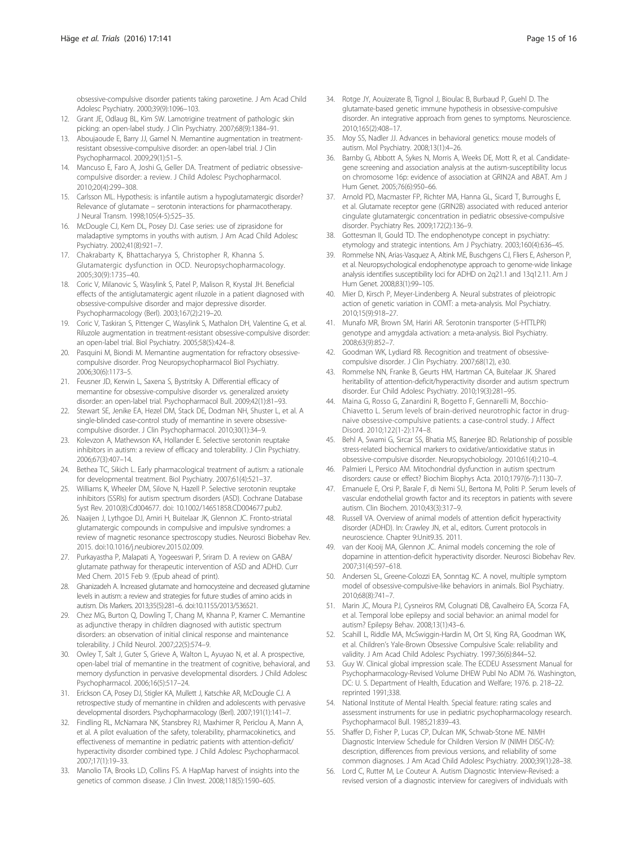<span id="page-14-0"></span>obsessive-compulsive disorder patients taking paroxetine. J Am Acad Child Adolesc Psychiatry. 2000;39(9):1096–103.

- 12. Grant JE, Odlaug BL, Kim SW. Lamotrigine treatment of pathologic skin picking: an open-label study. J Clin Psychiatry. 2007;68(9):1384–91.
- 13. Aboujaoude E, Barry JJ, Gamel N. Memantine augmentation in treatmentresistant obsessive-compulsive disorder: an open-label trial. J Clin Psychopharmacol. 2009;29(1):51–5.
- 14. Mancuso E, Faro A, Joshi G, Geller DA. Treatment of pediatric obsessivecompulsive disorder: a review. J Child Adolesc Psychopharmacol. 2010;20(4):299–308.
- 15. Carlsson ML. Hypothesis: is infantile autism a hypoglutamatergic disorder? Relevance of glutamate – serotonin interactions for pharmacotherapy. J Neural Transm. 1998;105(4-5):525–35.
- 16. McDougle CJ, Kem DL, Posey DJ. Case series: use of ziprasidone for maladaptive symptoms in youths with autism. J Am Acad Child Adolesc Psychiatry. 2002;41(8):921–7.
- 17. Chakrabarty K, Bhattacharyya S, Christopher R, Khanna S. Glutamatergic dysfunction in OCD. Neuropsychopharmacology. 2005;30(9):1735–40.
- 18. Coric V, Milanovic S, Wasylink S, Patel P, Malison R, Krystal JH. Beneficial effects of the antiglutamatergic agent riluzole in a patient diagnosed with obsessive-compulsive disorder and major depressive disorder. Psychopharmacology (Berl). 2003;167(2):219–20.
- 19. Coric V, Taskiran S, Pittenger C, Wasylink S, Mathalon DH, Valentine G, et al. Riluzole augmentation in treatment-resistant obsessive-compulsive disorder: an open-label trial. Biol Psychiatry. 2005;58(5):424–8.
- 20. Pasquini M, Biondi M. Memantine augmentation for refractory obsessivecompulsive disorder. Prog Neuropsychopharmacol Biol Psychiatry. 2006;30(6):1173–5.
- 21. Feusner JD, Kerwin L, Saxena S, Bystritsky A. Differential efficacy of memantine for obsessive-compulsive disorder vs. generalized anxiety disorder: an open-label trial. Psychopharmacol Bull. 2009;42(1):81–93.
- 22. Stewart SE, Jenike EA, Hezel DM, Stack DE, Dodman NH, Shuster L, et al. A single-blinded case-control study of memantine in severe obsessivecompulsive disorder. J Clin Psychopharmacol. 2010;30(1):34–9.
- 23. Kolevzon A, Mathewson KA, Hollander E. Selective serotonin reuptake inhibitors in autism: a review of efficacy and tolerability. J Clin Psychiatry. 2006;67(3):407–14.
- 24. Bethea TC, Sikich L. Early pharmacological treatment of autism: a rationale for developmental treatment. Biol Psychiatry. 2007;61(4):521–37.
- 25. Williams K, Wheeler DM, Silove N, Hazell P. Selective serotonin reuptake inhibitors (SSRIs) for autism spectrum disorders (ASD). Cochrane Database Syst Rev. 2010(8):Cd004677. doi: [10.1002/14651858.CD004677.pub2](http://dx.doi.org/10.1002/14651858.CD004677.pub2).
- 26. Naaijen J, Lythgoe DJ, Amiri H, Buitelaar JK, Glennon JC. Fronto-striatal glutamatergic compounds in compulsive and impulsive syndromes: a review of magnetic resonance spectroscopy studies. Neurosci Biobehav Rev. 2015. doi:[10.1016/j.neubiorev.2015.02.009.](http://dx.doi.org/10.1016/j.neubiorev.2015.02.009)
- 27. Purkayastha P, Malapati A, Yogeeswari P, Sriram D. A review on GABA/ glutamate pathway for therapeutic intervention of ASD and ADHD. Curr Med Chem. 2015 Feb 9. (Epub ahead of print).
- 28. Ghanizadeh A. Increased glutamate and homocysteine and decreased glutamine levels in autism: a review and strategies for future studies of amino acids in autism. Dis Markers. 2013;35(5):281–6. doi[:10.1155/2013/536521.](http://dx.doi.org/10.1155/2013/536521)
- 29. Chez MG, Burton Q, Dowling T, Chang M, Khanna P, Kramer C. Memantine as adjunctive therapy in children diagnosed with autistic spectrum disorders: an observation of initial clinical response and maintenance tolerability. J Child Neurol. 2007;22(5):574–9.
- 30. Owley T, Salt J, Guter S, Grieve A, Walton L, Ayuyao N, et al. A prospective, open-label trial of memantine in the treatment of cognitive, behavioral, and memory dysfunction in pervasive developmental disorders. J Child Adolesc Psychopharmacol. 2006;16(5):517–24.
- 31. Erickson CA, Posey DJ, Stigler KA, Mullett J, Katschke AR, McDougle CJ. A retrospective study of memantine in children and adolescents with pervasive developmental disorders. Psychopharmacology (Berl). 2007;191(1):141–7.
- 32. Findling RL, McNamara NK, Stansbrey RJ, Maxhimer R, Periclou A, Mann A, et al. A pilot evaluation of the safety, tolerability, pharmacokinetics, and effectiveness of memantine in pediatric patients with attention-deficit/ hyperactivity disorder combined type. J Child Adolesc Psychopharmacol. 2007;17(1):19–33.
- 33. Manolio TA, Brooks LD, Collins FS. A HapMap harvest of insights into the genetics of common disease. J Clin Invest. 2008;118(5):1590–605.
- 34. Rotge JY, Aouizerate B, Tignol J, Bioulac B, Burbaud P, Guehl D. The glutamate-based genetic immune hypothesis in obsessive-compulsive disorder. An integrative approach from genes to symptoms. Neuroscience. 2010;165(2):408–17.
- 35. Moy SS, Nadler JJ. Advances in behavioral genetics: mouse models of autism. Mol Psychiatry. 2008;13(1):4–26.
- Barnby G, Abbott A, Sykes N, Morris A, Weeks DE, Mott R, et al. Candidategene screening and association analysis at the autism-susceptibility locus on chromosome 16p: evidence of association at GRIN2A and ABAT. Am J Hum Genet. 2005;76(6):950–66.
- 37. Arnold PD, Macmaster FP, Richter MA, Hanna GL, Sicard T, Burroughs E, et al. Glutamate receptor gene (GRIN2B) associated with reduced anterior cingulate glutamatergic concentration in pediatric obsessive-compulsive disorder. Psychiatry Res. 2009;172(2):136–9.
- 38. Gottesman II, Gould TD. The endophenotype concept in psychiatry: etymology and strategic intentions. Am J Psychiatry. 2003;160(4):636–45.
- 39. Rommelse NN, Arias-Vasquez A, Altink ME, Buschgens CJ, Fliers E, Asherson P, et al. Neuropsychological endophenotype approach to genome-wide linkage analysis identifies susceptibility loci for ADHD on 2q21.1 and 13q12.11. Am J Hum Genet. 2008;83(1):99–105.
- 40. Mier D, Kirsch P, Meyer-Lindenberg A. Neural substrates of pleiotropic action of genetic variation in COMT: a meta-analysis. Mol Psychiatry. 2010;15(9):918–27.
- 41. Munafo MR, Brown SM, Hariri AR. Serotonin transporter (5-HTTLPR) genotype and amygdala activation: a meta-analysis. Biol Psychiatry. 2008;63(9):852–7.
- 42. Goodman WK, Lydiard RB. Recognition and treatment of obsessivecompulsive disorder. J Clin Psychiatry. 2007;68(12), e30.
- 43. Rommelse NN, Franke B, Geurts HM, Hartman CA, Buitelaar JK. Shared heritability of attention-deficit/hyperactivity disorder and autism spectrum disorder. Eur Child Adolesc Psychiatry. 2010;19(3):281–95.
- 44. Maina G, Rosso G, Zanardini R, Bogetto F, Gennarelli M, Bocchio-Chiavetto L. Serum levels of brain-derived neurotrophic factor in drugnaive obsessive-compulsive patients: a case-control study. J Affect Disord. 2010;122(1-2):174–8.
- 45. Behl A, Swami G, Sircar SS, Bhatia MS, Banerjee BD. Relationship of possible stress-related biochemical markers to oxidative/antioxidative status in obsessive-compulsive disorder. Neuropsychobiology. 2010;61(4):210–4.
- 46. Palmieri L, Persico AM. Mitochondrial dysfunction in autism spectrum disorders: cause or effect? Biochim Biophys Acta. 2010;1797(6-7):1130–7.
- 47. Emanuele E, Orsi P, Barale F, di Nemi SU, Bertona M, Politi P. Serum levels of vascular endothelial growth factor and its receptors in patients with severe autism. Clin Biochem. 2010;43(3):317–9.
- 48. Russell VA. Overview of animal models of attention deficit hyperactivity disorder (ADHD). In: Crawley JN, et al., editors. Current protocols in neuroscience. Chapter 9:Unit9.35. 2011.
- 49. van der Kooij MA, Glennon JC. Animal models concerning the role of dopamine in attention-deficit hyperactivity disorder. Neurosci Biobehav Rev. 2007;31(4):597–618.
- 50. Andersen SL, Greene-Colozzi EA, Sonntag KC. A novel, multiple symptom model of obsessive-compulsive-like behaviors in animals. Biol Psychiatry. 2010;68(8):741–7.
- 51. Marin JC, Moura PJ, Cysneiros RM, Colugnati DB, Cavalheiro EA, Scorza FA, et al. Temporal lobe epilepsy and social behavior: an animal model for autism? Epilepsy Behav. 2008;13(1):43–6.
- 52. Scahill L, Riddle MA, McSwiggin-Hardin M, Ort SI, King RA, Goodman WK, et al. Children's Yale-Brown Obsessive Compulsive Scale: reliability and validity. J Am Acad Child Adolesc Psychiatry. 1997;36(6):844–52.
- 53. Guy W. Clinical global impression scale. The ECDEU Assessment Manual for Psychopharmacology-Revised Volume DHEW Publ No ADM 76. Washington, DC: U. S. Department of Health, Education and Welfare; 1976. p. 218–22. reprinted 1991;338.
- 54. National Institute of Mental Health. Special feature: rating scales and assessment instruments for use in pediatric psychopharmacology research. Psychopharmacol Bull. 1985;21:839–43.
- 55. Shaffer D, Fisher P, Lucas CP, Dulcan MK, Schwab-Stone ME. NIMH Diagnostic Interview Schedule for Children Version IV (NIMH DISC-IV): description, differences from previous versions, and reliability of some common diagnoses. J Am Acad Child Adolesc Psychiatry. 2000;39(1):28–38.
- 56. Lord C, Rutter M, Le Couteur A. Autism Diagnostic Interview-Revised: a revised version of a diagnostic interview for caregivers of individuals with